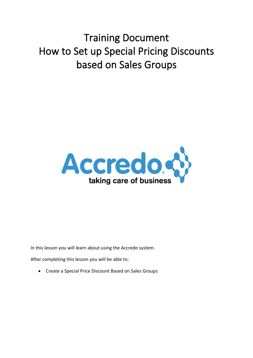# Training Document How to Set up Special Pricing Discounts based on Sales Groups



In this lesson you will learn about using the Accredo system.

After completing this lesson you will be able to:

Create a Special Price Discount Based on Sales Groups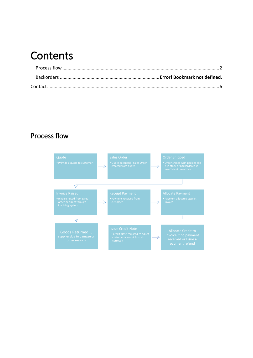### **Contents**

### <span id="page-1-0"></span>Process flow

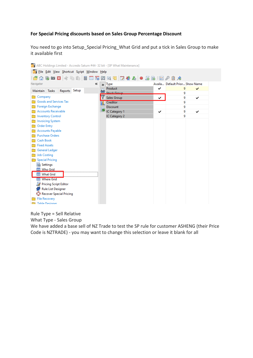#### **For Special Pricing discounts based on Sales Group Percentage Discount**

You need to go into Setup\_Special Pricing\_What Grid and put a tick in Sales Group to make it available first

| ABC Holdings Limited - Accredo Saturn #44- 32 bit - [SP What Maintenance] |   |                    |   |                                |  |
|---------------------------------------------------------------------------|---|--------------------|---|--------------------------------|--|
| File Edit View Shortcut Script Window Help                                |   |                    |   |                                |  |
|                                                                           |   |                    |   |                                |  |
| Navigator<br>《                                                            |   | $\rightarrow$ Type |   | Availa Default Prior Show Name |  |
| Reports Setup<br>Maintain Tasks                                           |   | Product            | ✓ | 9<br>✓                         |  |
|                                                                           |   | <b>Stock Group</b> |   | 9                              |  |
| Company                                                                   |   | Sales Group        | ✓ | 9<br>✓                         |  |
| Goods and Services Tax                                                    | N | Creditor           |   | 9                              |  |
| Foreign Exchange                                                          | B | <b>Discount</b>    |   | 9                              |  |
| <b>Accounts Receivable</b>                                                |   | IC Category 1      | ✓ | 9<br>✓                         |  |
| <b>Inventory Control</b>                                                  |   | IC Category 2      |   | 9                              |  |
| <b>Invoicing System</b>                                                   |   |                    |   |                                |  |
| <b>Order Entry</b>                                                        |   |                    |   |                                |  |
| <b>Accounts Payable</b>                                                   |   |                    |   |                                |  |
| <b>Purchase Orders</b>                                                    |   |                    |   |                                |  |
| Cash Book                                                                 |   |                    |   |                                |  |
| <b>Fixed Assets</b>                                                       |   |                    |   |                                |  |
| General Ledger                                                            |   |                    |   |                                |  |
| <b>Job Costing</b>                                                        |   |                    |   |                                |  |
| <b>Special Pricing</b>                                                    |   |                    |   |                                |  |
| <b>最</b> Settings                                                         |   |                    |   |                                |  |
| Who Grid                                                                  |   |                    |   |                                |  |
| <b>ED</b> What Grid                                                       |   |                    |   |                                |  |
| Where Grid                                                                |   |                    |   |                                |  |
| Pricing Script Editor                                                     |   |                    |   |                                |  |
| ęЗ<br><b>Rule List Designer</b>                                           |   |                    |   |                                |  |
| Recover Special Pricing                                                   |   |                    |   |                                |  |
| <b>File Recovery</b>                                                      |   |                    |   |                                |  |
| <b>Table Designer</b>                                                     |   |                    |   |                                |  |

Rule Type = Sell Relative

What Type - Sales Group

We have added a base sell of NZ Trade to test the SP rule for customer ASHENG (their Price Code is NZTRADE) - you may want to change this selection or leave it blank for all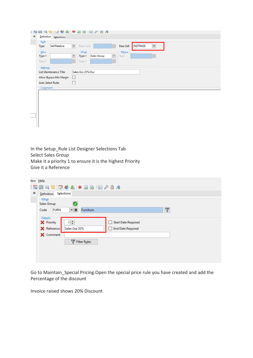| i Lo |                              |                                                                                              |
|------|------------------------------|----------------------------------------------------------------------------------------------|
| 《    | Definition Selections        |                                                                                              |
|      | Rule                         |                                                                                              |
|      | Sell Relative<br><b>Type</b> | <b>NZTRADE</b><br><b>Base Sell</b><br><b>Base Cost</b><br>$\check{}$<br>$\blacktriangledown$ |
|      | Who                          | Where<br>What                                                                                |
|      | Type 1                       | Sales Group<br>Type 1<br>$\checkmark$<br>$\checkmark$<br>Type<br>$\mathcal{L}_{\mathcal{C}}$ |
|      | Type 2                       | Type 2<br>$\mathcal{S}_{\mathcal{C}}$<br>$\mathcal{A}_{\mathcal{A}}$                         |
|      | Settings                     |                                                                                              |
|      | List Maintenance Title       | Sales Grp 20% Disc                                                                           |
|      | Allow Bypass Min Margin      | П                                                                                            |
|      | <b>Auto Select Rules</b>     | $\mathsf{L}$                                                                                 |
|      | Comment                      |                                                                                              |
|      |                              |                                                                                              |
|      |                              |                                                                                              |
|      |                              |                                                                                              |
|      |                              |                                                                                              |
|      |                              |                                                                                              |
|      |                              |                                                                                              |
|      |                              |                                                                                              |

In the Setup\_Rule List Designer Selections Tab Select Sales Group Make it a priority 1 to ensure it is the highest Priority Give it a Reference

|   | low <u>H</u> elp      |                                                |  |
|---|-----------------------|------------------------------------------------|--|
|   |                       |                                                |  |
| ≪ | Definition            | Selections                                     |  |
|   | $-What$               |                                                |  |
|   | Sales Group           | M                                              |  |
|   | <b>FURN</b><br>Code   | $\mathbb {V}$<br>Furniture                     |  |
|   |                       |                                                |  |
|   | Details<br>X Priority | 1≑<br><b>Start Date Required</b>               |  |
|   |                       |                                                |  |
|   | <b>X</b> Reference    | Sales Grp 20%<br><b>End Date Required</b><br>H |  |
|   | X Comment             |                                                |  |
|   |                       | Filter Rules                                   |  |
|   |                       |                                                |  |
|   |                       |                                                |  |
|   |                       |                                                |  |
|   |                       |                                                |  |

Go to Maintain Special Pricing. Open the special price rule you have created and add the Percentage of the discount

Invoice raised shows 20% Discount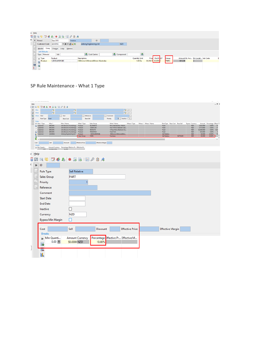| w Help                    |                                    |                              |                              |            |                      |                   |             |                                   |   |
|---------------------------|------------------------------------|------------------------------|------------------------------|------------|----------------------|-------------------|-------------|-----------------------------------|---|
|                           |                                    |                              |                              |            |                      |                   |             |                                   |   |
| $\mathbb{R}$ $\mathbb{R}$ | Period                             | Sep 2013<br>Invoice          | ID                           |            |                      |                   |             |                                   |   |
|                           | <b>Customer Code</b>               | ▼ # 7 6 A 2<br><b>ASHENG</b> | Asheng Engineering Ltd       | <b>NZD</b> |                      |                   |             |                                   |   |
|                           | Header                             | Lines Charges Links Memos    |                              |            |                      |                   |             |                                   |   |
|                           | Job Defaults                       |                              |                              |            |                      |                   |             |                                   |   |
|                           | Type Material                      | Job                          | Cost Centre                  | Component  |                      |                   |             |                                   |   |
|                           | <sub>&gt;&gt;</sub> Type           | Product                      | <b>Description</b>           |            | <b>Quantity Unit</b> | Price Disc% SST   | Group       | Amount GL Acc Bin Locati Job Code | c |
|                           | Product<br>$\overline{\mathbf{a}}$ | 1.8MWARDROBE                 | 1800mmx1200mmx600mm Wardrobe |            | 1.00 <sub>Ea</sub>   | \$1,018.74 20.00% | <b>FURN</b> | \$814.99                          |   |
|                           | $\blacksquare$                     |                              |                              |            |                      |                   |             |                                   |   |
|                           |                                    |                              |                              |            |                      |                   |             |                                   |   |
|                           |                                    |                              |                              |            |                      |                   |             |                                   |   |

SP Rule Maintenance - What 1 Type

| He                                     | actors - per issue ividimentalisée)                        |                                                               |                        |                                       |                                                      |                        |                      |                               |                               |                |                                      |                            |                                     | $\sim$<br>$- 5 x$     |
|----------------------------------------|------------------------------------------------------------|---------------------------------------------------------------|------------------------|---------------------------------------|------------------------------------------------------|------------------------|----------------------|-------------------------------|-------------------------------|----------------|--------------------------------------|----------------------------|-------------------------------------|-----------------------|
| 557                                    | $\bullet$<br>ワ谷<br>æ.                                      | 58 回夕日本                                                       |                        |                                       |                                                      |                        |                      |                               |                               |                |                                      |                            |                                     |                       |
| $\,$<br>Who<br>$\overline{\mathbb{R}}$ | R<br>Fø<br>What                                            |                                                               | $\blacksquare$<br>Fø   |                                       |                                                      | 最同日<br>5 F 3           |                      |                               |                               |                |                                      |                            |                                     |                       |
| Q                                      | When Start                                                 | End                                                           | Reference              |                                       | Comment                                              |                        |                      |                               |                               |                |                                      |                            |                                     |                       |
|                                        | <b>Rule Type</b><br>Fixed<br><b>Rules</b>                  | <b>Base Cost</b>                                              | <b>Base Sell</b>       |                                       | Priority                                             | $9$ = Inactive $\Box$  |                      |                               |                               |                |                                      |                            |                                     |                       |
|                                        | Who 1<br>» Who 1 Type<br><b>BROWN</b><br><b>Q</b> Customer | Who 1 Name<br>John Browns Furnishings                         | What 1 Type<br>Product | <b>Sales Group</b><br><b>BLANKBOX</b> | What 1 Name<br>Rimu Blanket Box 1Mx50                | Where 1 Type           | Where 1 Where 1 Name | Fixed                         | Rule Type Base Cost Base Sell |                | <b>Bypass Currency</b><br><b>NZD</b> | \$352,0000                 | Amount Percentage Effect ^<br>0.00% | \$3                   |
|                                        | Customer<br><b>BROWN</b><br>Customer<br><b>BROWN</b>       | John Browns Furnishings<br>John Browns Furnishings            | Product<br>Product     | 2XBEDCAB<br><b>BEDSUITE</b>           | Pair of Rimu Bedside Cabi<br>5 Piece Rimu Bedroom Su |                        |                      | Fixed<br>Fixed                |                               |                | <b>NZD</b><br><b>NZD</b>             | \$713,9000<br>\$3,848.9000 | 0.00%<br>0.00%                      | S7<br>\$3,8           |
| <b>RI</b>                              | Al Customer<br><b>BROWN</b><br><b>ASHENG</b><br>Customer   | John Browns Furnishings<br>Asheng Engineering Ltd             | Product<br>Product     | <b>FRESHFISH</b><br>1.8MWARDROBE      | Fresh Fish<br>1800mmx1200mmx600m                     |                        |                      | Fixed<br><b>Sell Relative</b> |                               |                | <b>NZD</b><br><b>NZD</b>             | \$35,0000<br>\$0,0000      | 0.00%<br>20.00%                     | <b>S</b><br><b>S8</b> |
| 郾                                      | $\bullet$ <                                                |                                                               | <b>Sales Group</b>     | <b>FURN</b>                           | Furniture                                            |                        |                      | <b>Sell Relative</b>          |                               | <b>NZTRADE</b> | <b>NZD</b>                           | \$0,0000                   | 20.00%                              | $\rightarrow$         |
| Cost                                   | Sell                                                       | Discount                                                      | <b>Effective Price</b> | <b>Effective Margin</b>               |                                                      |                        |                      |                               |                               |                |                                      |                            |                                     |                       |
|                                        | <b>Breaks</b><br>» Min Quanti<br>\$0,0000,6/20<br>0.001    | Amount Currency Percentage Effective Pr Effective M<br>20,00% |                        |                                       |                                                      |                        |                      |                               |                               |                |                                      |                            |                                     |                       |
| He<br>v                                |                                                            |                                                               |                        |                                       |                                                      |                        |                      |                               |                               |                |                                      |                            |                                     |                       |
|                                        |                                                            |                                                               |                        |                                       |                                                      |                        |                      |                               |                               |                |                                      |                            |                                     |                       |
| ō<br>過                                 | <b>Do</b>                                                  |                                                               |                        |                                       |                                                      |                        |                      |                               |                               |                |                                      |                            |                                     |                       |
| c<br>$\gg$                             | ID                                                         |                                                               |                        |                                       |                                                      |                        |                      |                               |                               |                |                                      |                            |                                     |                       |
|                                        | <b>Rule Type</b>                                           |                                                               | <b>Sell Relative</b>   |                                       |                                                      |                        |                      |                               |                               |                |                                      |                            |                                     |                       |
| E)                                     | Sales Group                                                | <b>PART</b>                                                   |                        |                                       |                                                      |                        |                      |                               |                               |                |                                      |                            |                                     |                       |
| t,                                     | Priority                                                   |                                                               | 1                      |                                       |                                                      |                        |                      |                               |                               |                |                                      |                            |                                     |                       |
| 로                                      | Reference                                                  |                                                               |                        |                                       |                                                      |                        |                      |                               |                               |                |                                      |                            |                                     |                       |
|                                        | Comment                                                    |                                                               |                        |                                       |                                                      |                        |                      |                               |                               |                |                                      |                            |                                     |                       |
|                                        | <b>Start Date</b>                                          |                                                               |                        |                                       |                                                      |                        |                      |                               |                               |                |                                      |                            |                                     |                       |
|                                        | <b>End Date</b>                                            |                                                               |                        |                                       |                                                      |                        |                      |                               |                               |                |                                      |                            |                                     |                       |
|                                        | Inactive                                                   |                                                               |                        |                                       |                                                      |                        |                      |                               |                               |                |                                      |                            |                                     |                       |
|                                        | Currency                                                   | <b>NZD</b>                                                    |                        |                                       |                                                      |                        |                      |                               |                               |                |                                      |                            |                                     |                       |
|                                        | <b>Bypass Min Margin</b>                                   |                                                               |                        |                                       |                                                      |                        |                      |                               |                               |                |                                      |                            |                                     |                       |
|                                        |                                                            |                                                               |                        |                                       |                                                      |                        |                      |                               |                               |                |                                      |                            |                                     |                       |
|                                        | Cost                                                       | Sell                                                          |                        | <b>Discount</b>                       |                                                      | <b>Effective Price</b> |                      | <b>Effective Margin</b>       |                               |                |                                      |                            |                                     |                       |
|                                        | <b>Breaks</b>                                              |                                                               |                        |                                       |                                                      |                        |                      |                               |                               |                |                                      |                            |                                     |                       |
|                                        | » Min Quanti                                               |                                                               | <b>Amount Currency</b> | Percentage Effective Pr Effective M   |                                                      |                        |                      |                               |                               |                |                                      |                            |                                     |                       |
|                                        | $0.00$ $\boxed{0}$                                         |                                                               | \$0.0000 NZD           | 10.00%                                |                                                      |                        |                      |                               |                               |                |                                      |                            |                                     |                       |
| J                                      | e.                                                         |                                                               |                        |                                       |                                                      |                        |                      |                               |                               |                |                                      |                            |                                     |                       |
|                                        | 皀                                                          |                                                               |                        |                                       |                                                      |                        |                      |                               |                               |                |                                      |                            |                                     |                       |
|                                        | 团                                                          |                                                               |                        |                                       |                                                      |                        |                      |                               |                               |                |                                      |                            |                                     |                       |